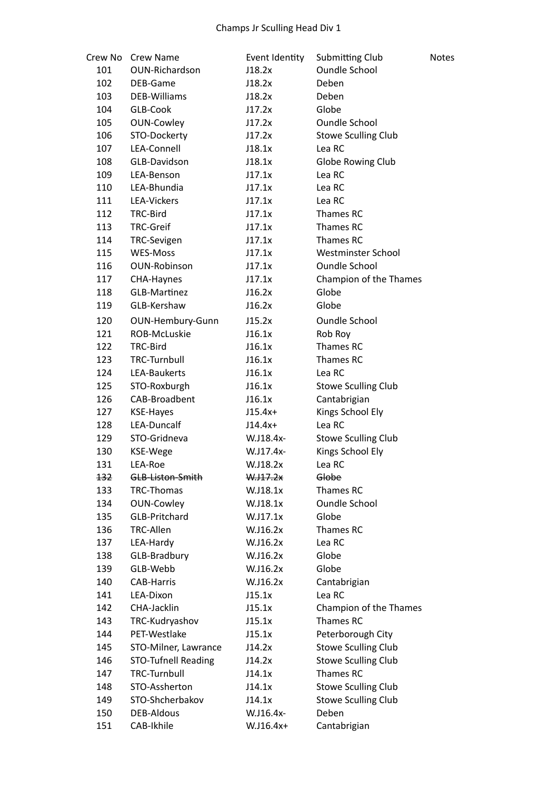| Crew No | <b>Crew Name</b>           | Event Identity | Submitting Club            | <b>Notes</b> |
|---------|----------------------------|----------------|----------------------------|--------------|
| 101     | OUN-Richardson             | J18.2x         | <b>Oundle School</b>       |              |
| 102     | DEB-Game                   | J18.2x         | Deben                      |              |
| 103     | DEB-Williams               | J18.2x         | Deben                      |              |
| 104     | GLB-Cook                   | J17.2x         | Globe                      |              |
| 105     | <b>OUN-Cowley</b>          | J17.2x         | <b>Oundle School</b>       |              |
| 106     | STO-Dockerty               | J17.2x         | <b>Stowe Sculling Club</b> |              |
| 107     | LEA-Connell                | J18.1x         | Lea RC                     |              |
| 108     | GLB-Davidson               | J18.1x         | Globe Rowing Club          |              |
| 109     | LEA-Benson                 | J17.1x         | Lea RC                     |              |
| 110     | LEA-Bhundia                | J17.1x         | Lea RC                     |              |
| 111     | LEA-Vickers                | J17.1x         | Lea RC                     |              |
| 112     | TRC-Bird                   | J17.1x         | Thames RC                  |              |
| 113     | <b>TRC-Greif</b>           | J17.1x         | Thames RC                  |              |
| 114     | <b>TRC-Sevigen</b>         | J17.1x         | Thames RC                  |              |
| 115     | <b>WES-Moss</b>            | J17.1x         | Westminster School         |              |
| 116     | <b>OUN-Robinson</b>        | J17.1x         | <b>Oundle School</b>       |              |
| 117     | CHA-Haynes                 | J17.1x         | Champion of the Thames     |              |
| 118     | <b>GLB-Martinez</b>        | J16.2x         | Globe                      |              |
| 119     | GLB-Kershaw                | J16.2x         | Globe                      |              |
| 120     | OUN-Hembury-Gunn           | J15.2x         | <b>Oundle School</b>       |              |
| 121     | ROB-McLuskie               | J16.1x         | Rob Roy                    |              |
| 122     | TRC-Bird                   | J16.1x         | Thames RC                  |              |
| 123     | <b>TRC-Turnbull</b>        | J16.1x         | Thames RC                  |              |
| 124     | LEA-Baukerts               | J16.1x         | Lea RC                     |              |
| 125     | STO-Roxburgh               | J16.1x         | <b>Stowe Sculling Club</b> |              |
| 126     | CAB-Broadbent              | J16.1x         | Cantabrigian               |              |
| 127     | <b>KSE-Hayes</b>           | $J15.4x+$      | Kings School Ely           |              |
| 128     | LEA-Duncalf                | $J14.4x+$      | Lea RC                     |              |
| 129     | STO-Gridneva               | W.J18.4x-      | <b>Stowe Sculling Club</b> |              |
| 130     | KSE-Wege                   | W.J17.4x-      | Kings School Ely           |              |
| 131     | LEA-Roe                    | W.J18.2x       | Lea RC                     |              |
| 132     | GLB-Liston-Smith           | $W.$ J17.2 $x$ | Globe                      |              |
| 133     | TRC-Thomas                 | W.J18.1x       | Thames RC                  |              |
| 134     | <b>OUN-Cowley</b>          | W.J18.1x       | <b>Oundle School</b>       |              |
| 135     | GLB-Pritchard              | W.J17.1x       | Globe                      |              |
| 136     | TRC-Allen                  | W.J16.2x       | Thames RC                  |              |
| 137     | LEA-Hardy                  | W.J16.2x       | Lea RC                     |              |
| 138     | GLB-Bradbury               | W.J16.2x       | Globe                      |              |
| 139     | GLB-Webb                   | W.J16.2x       | Globe                      |              |
| 140     | <b>CAB-Harris</b>          | W.J16.2x       | Cantabrigian               |              |
| 141     | LEA-Dixon                  | J15.1x         | Lea RC                     |              |
| 142     | CHA-Jacklin                | J15.1x         | Champion of the Thames     |              |
| 143     | TRC-Kudryashov             | J15.1x         | Thames RC                  |              |
| 144     | PET-Westlake               | J15.1x         | Peterborough City          |              |
| 145     | STO-Milner, Lawrance       | J14.2x         | <b>Stowe Sculling Club</b> |              |
| 146     | <b>STO-Tufnell Reading</b> | J14.2x         | <b>Stowe Sculling Club</b> |              |
| 147     | <b>TRC-Turnbull</b>        | J14.1x         | Thames RC                  |              |
| 148     | STO-Assherton              | J14.1x         | <b>Stowe Sculling Club</b> |              |
| 149     | STO-Shcherbakov            | J14.1x         | <b>Stowe Sculling Club</b> |              |
| 150     | <b>DEB-Aldous</b>          | W.J16.4x-      | Deben                      |              |
| 151     | CAB-Ikhile                 | W.J16.4x+      | Cantabrigian               |              |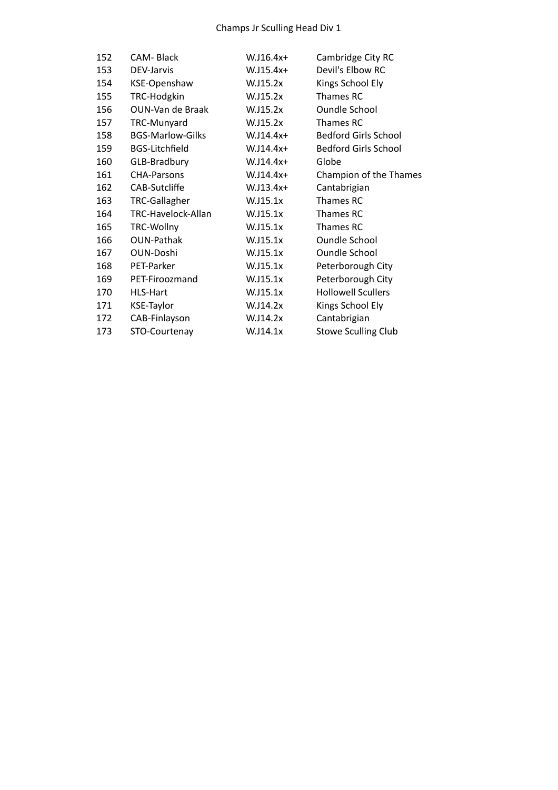## Champs
Jr
Sculling
Head
Div
1

| 152 | <b>CAM-Black</b>        | $W.J16.4x+$ | Cambridge City RC           |
|-----|-------------------------|-------------|-----------------------------|
| 153 | DEV-Jarvis              | $W.J15.4x+$ | Devil's Elbow RC            |
| 154 | KSE-Openshaw            | W.J15.2x    | Kings School Ely            |
| 155 | TRC-Hodgkin             | W.J15.2x    | Thames RC                   |
| 156 | OUN-Van de Braak        | W.J15.2x    | <b>Oundle School</b>        |
| 157 | TRC-Munyard             | W.J15.2x    | Thames RC                   |
| 158 | <b>BGS-Marlow-Gilks</b> | $W.J14.4x+$ | <b>Bedford Girls School</b> |
| 159 | <b>BGS-Litchfield</b>   | $W.J14.4x+$ | <b>Bedford Girls School</b> |
| 160 | GLB-Bradbury            | $W.J14.4x+$ | Globe                       |
| 161 | <b>CHA-Parsons</b>      | W.J14.4x+   | Champion of the Thames      |
| 162 | CAB-Sutcliffe           | $W.J13.4x+$ | Cantabrigian                |
| 163 | TRC-Gallagher           | W.J15.1x    | Thames RC                   |
| 164 | TRC-Havelock-Allan      | W.J15.1x    | Thames RC                   |
| 165 | TRC-Wollny              | W.J15.1x    | Thames RC                   |
| 166 | <b>OUN-Pathak</b>       | W.J15.1x    | <b>Oundle School</b>        |
| 167 | <b>OUN-Doshi</b>        | W.J15.1x    | <b>Oundle School</b>        |
| 168 | PET-Parker              | W.J15.1x    | Peterborough City           |
| 169 | PET-Firoozmand          | W.J15.1x    | Peterborough City           |
| 170 | HLS-Hart                | W.J15.1x    | <b>Hollowell Scullers</b>   |
| 171 | <b>KSE-Taylor</b>       | W.J14.2x    | Kings School Ely            |
| 172 | CAB-Finlayson           | W.J14.2x    | Cantabrigian                |
| 173 | STO-Courtenay           | W.J14.1x    | <b>Stowe Sculling Club</b>  |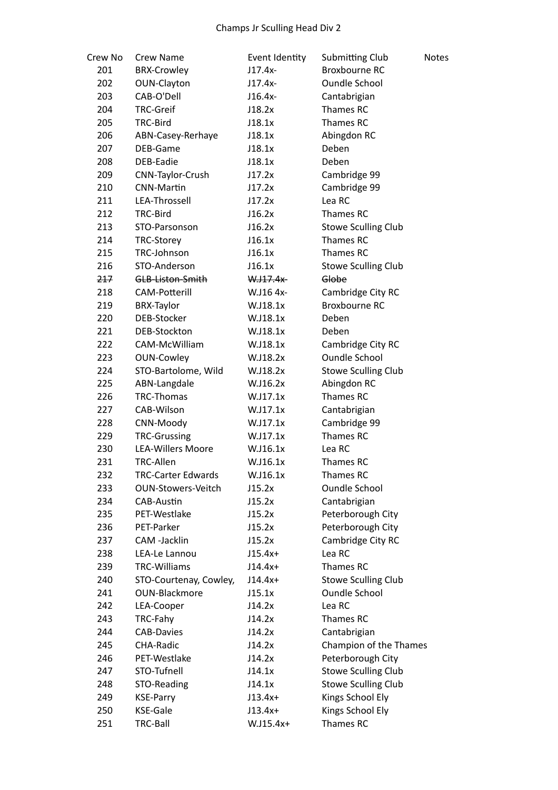| Crew No | <b>Crew Name</b>          | Event Identity | <b>Submitting Club</b>     | <b>Notes</b> |
|---------|---------------------------|----------------|----------------------------|--------------|
| 201     | <b>BRX-Crowley</b>        | $J17.4x-$      | Broxbourne RC              |              |
| 202     | OUN-Clayton               | $J17.4x-$      | <b>Oundle School</b>       |              |
| 203     | CAB-O'Dell                | J16.4x-        | Cantabrigian               |              |
| 204     | <b>TRC-Greif</b>          | J18.2x         | Thames RC                  |              |
| 205     | TRC-Bird                  | J18.1x         | Thames RC                  |              |
| 206     | ABN-Casey-Rerhaye         | J18.1x         | Abingdon RC                |              |
| 207     | DEB-Game                  | J18.1x         | Deben                      |              |
| 208     | DEB-Eadie                 | J18.1x         | Deben                      |              |
| 209     | CNN-Taylor-Crush          | J17.2x         | Cambridge 99               |              |
| 210     | <b>CNN-Martin</b>         | J17.2x         | Cambridge 99               |              |
| 211     | LEA-Throssell             | J17.2x         | Lea RC                     |              |
| 212     | TRC-Bird                  | J16.2x         | Thames RC                  |              |
| 213     | STO-Parsonson             | J16.2x         | <b>Stowe Sculling Club</b> |              |
| 214     | <b>TRC-Storey</b>         | J16.1x         | Thames RC                  |              |
| 215     | TRC-Johnson               | J16.1x         | Thames RC                  |              |
|         |                           |                |                            |              |
| 216     | STO-Anderson              | J16.1x         | <b>Stowe Sculling Club</b> |              |
| 217     | GLB-Liston-Smith          | $W.117.4x-$    | Globe                      |              |
| 218     | <b>CAM-Potterill</b>      | W.J16 4x-      | Cambridge City RC          |              |
| 219     | <b>BRX-Taylor</b>         | W.J18.1x       | <b>Broxbourne RC</b>       |              |
| 220     | DEB-Stocker               | W.J18.1x       | Deben                      |              |
| 221     | DEB-Stockton              | W.J18.1x       | Deben                      |              |
| 222     | CAM-McWilliam             | W.J18.1x       | Cambridge City RC          |              |
| 223     | <b>OUN-Cowley</b>         | W.J18.2x       | <b>Oundle School</b>       |              |
| 224     | STO-Bartolome, Wild       | W.J18.2x       | <b>Stowe Sculling Club</b> |              |
| 225     | ABN-Langdale              | W.J16.2x       | Abingdon RC                |              |
| 226     | <b>TRC-Thomas</b>         | W.J17.1x       | Thames RC                  |              |
| 227     | CAB-Wilson                | W.J17.1x       | Cantabrigian               |              |
| 228     | CNN-Moody                 | W.J17.1x       | Cambridge 99               |              |
| 229     | <b>TRC-Grussing</b>       | W.J17.1x       | Thames RC                  |              |
| 230     | <b>LEA-Willers Moore</b>  | W.J16.1x       | Lea RC                     |              |
| 231     | TRC-Allen                 | W.J16.1x       | Thames RC                  |              |
| 232     | <b>TRC-Carter Edwards</b> | W.J16.1x       | Thames RC                  |              |
| 233     | <b>OUN-Stowers-Veitch</b> | J15.2x         | <b>Oundle School</b>       |              |
| 234     | CAB-Austin                | J15.2x         | Cantabrigian               |              |
| 235     | PET-Westlake              | J15.2x         | Peterborough City          |              |
| 236     | PET-Parker                | J15.2x         | Peterborough City          |              |
| 237     | CAM -Jacklin              | J15.2x         | Cambridge City RC          |              |
| 238     | LEA-Le Lannou             | $J15.4x+$      | Lea RC                     |              |
| 239     | <b>TRC-Williams</b>       | $J14.4x+$      | Thames RC                  |              |
| 240     | STO-Courtenay, Cowley,    | $J14.4x+$      | <b>Stowe Sculling Club</b> |              |
| 241     | <b>OUN-Blackmore</b>      | J15.1x         | <b>Oundle School</b>       |              |
| 242     | LEA-Cooper                | J14.2x         | Lea RC                     |              |
| 243     | TRC-Fahy                  | J14.2x         | Thames RC                  |              |
| 244     | <b>CAB-Davies</b>         | J14.2x         | Cantabrigian               |              |
| 245     | CHA-Radic                 | J14.2x         | Champion of the Thames     |              |
| 246     | PET-Westlake              | J14.2x         | Peterborough City          |              |
| 247     | STO-Tufnell               | J14.1x         | <b>Stowe Sculling Club</b> |              |
| 248     | STO-Reading               | J14.1x         | <b>Stowe Sculling Club</b> |              |
| 249     | <b>KSE-Parry</b>          | $J13.4x+$      | Kings School Ely           |              |
| 250     | <b>KSE-Gale</b>           | $J13.4x+$      | Kings School Ely           |              |
| 251     | TRC-Ball                  | W.J15.4x+      | Thames RC                  |              |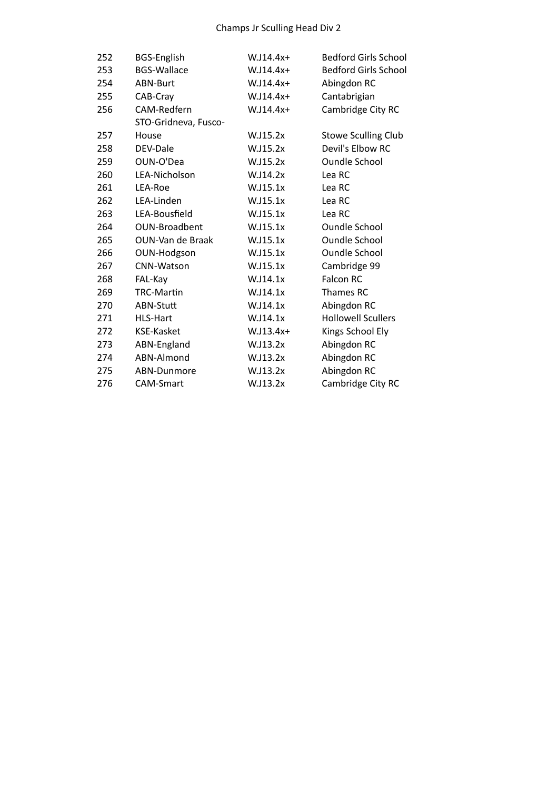| 252 | <b>BGS-English</b>   | W.J14.4x+   | <b>Bedford Girls School</b> |
|-----|----------------------|-------------|-----------------------------|
| 253 | <b>BGS-Wallace</b>   | $W.J14.4x+$ | <b>Bedford Girls School</b> |
| 254 | ABN-Burt             | W.J14.4x+   | Abingdon RC                 |
| 255 | CAB-Cray             | $W.J14.4x+$ | Cantabrigian                |
| 256 | CAM-Redfern          | W.J14.4x+   | Cambridge City RC           |
|     | STO-Gridneva, Fusco- |             |                             |
| 257 | House                | W.J15.2x    | <b>Stowe Sculling Club</b>  |
| 258 | DEV-Dale             | W.J15.2x    | Devil's Elbow RC            |
| 259 | OUN-O'Dea            | W.J15.2x    | <b>Oundle School</b>        |
| 260 | LEA-Nicholson        | W.J14.2x    | Lea RC                      |
| 261 | LEA-Roe              | W.J15.1x    | Lea RC                      |
| 262 | LEA-Linden           | W.J15.1x    | Lea RC                      |
| 263 | LEA-Bousfield        | W.J15.1x    | Lea RC                      |
| 264 | <b>OUN-Broadbent</b> | W.J15.1x    | <b>Oundle School</b>        |
| 265 | OUN-Van de Braak     | W.J15.1x    | <b>Oundle School</b>        |
| 266 | OUN-Hodgson          | W.J15.1x    | <b>Oundle School</b>        |
| 267 | CNN-Watson           | W.J15.1x    | Cambridge 99                |
| 268 | FAL-Kay              | W.J14.1x    | <b>Falcon RC</b>            |
| 269 | <b>TRC-Martin</b>    | W.J14.1x    | Thames RC                   |
| 270 | ABN-Stutt            | W.J14.1x    | Abingdon RC                 |
| 271 | <b>HLS-Hart</b>      | W.J14.1x    | <b>Hollowell Scullers</b>   |
| 272 | <b>KSE-Kasket</b>    | $W.J13.4x+$ | Kings School Ely            |
| 273 | ABN-England          | W.J13.2x    | Abingdon RC                 |
| 274 | ABN-Almond           | W.J13.2x    | Abingdon RC                 |
| 275 | ABN-Dunmore          | W.J13.2x    | Abingdon RC                 |
| 276 | <b>CAM-Smart</b>     | W.J13.2x    | Cambridge City RC           |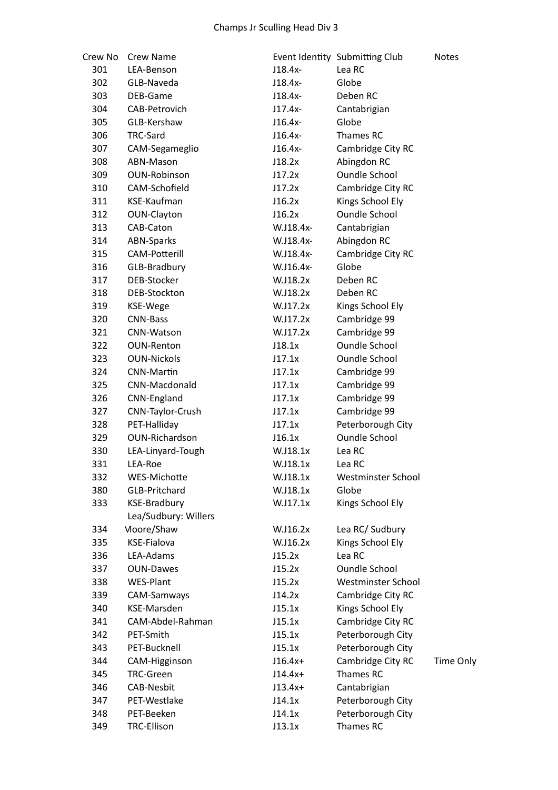| Crew No | Crew Name            |           | Event Identity Submitting Club | <b>Notes</b>     |
|---------|----------------------|-----------|--------------------------------|------------------|
| 301     | LEA-Benson           | J18.4x-   | Lea RC                         |                  |
| 302     | GLB-Naveda           | J18.4x-   | Globe                          |                  |
| 303     | DEB-Game             | J18.4x-   | Deben RC                       |                  |
| 304     | CAB-Petrovich        | $J17.4x-$ | Cantabrigian                   |                  |
| 305     | GLB-Kershaw          | J16.4x-   | Globe                          |                  |
| 306     | TRC-Sard             | $J16.4x-$ | Thames RC                      |                  |
| 307     | CAM-Segameglio       | $J16.4x-$ | Cambridge City RC              |                  |
| 308     | ABN-Mason            | J18.2x    | Abingdon RC                    |                  |
| 309     | <b>OUN-Robinson</b>  | J17.2x    | Oundle School                  |                  |
| 310     | CAM-Schofield        | J17.2x    | Cambridge City RC              |                  |
| 311     | KSE-Kaufman          | J16.2x    | Kings School Ely               |                  |
| 312     | OUN-Clayton          | J16.2x    | <b>Oundle School</b>           |                  |
| 313     | CAB-Caton            | W.J18.4x- | Cantabrigian                   |                  |
| 314     | <b>ABN-Sparks</b>    | W.J18.4x- | Abingdon RC                    |                  |
| 315     | <b>CAM-Potterill</b> | W.J18.4x- | Cambridge City RC              |                  |
| 316     | GLB-Bradbury         | W.J16.4x- | Globe                          |                  |
| 317     | DEB-Stocker          | W.J18.2x  | Deben RC                       |                  |
| 318     | DEB-Stockton         | W.J18.2x  | Deben RC                       |                  |
| 319     | KSE-Wege             | W.J17.2x  | Kings School Ely               |                  |
| 320     | <b>CNN-Bass</b>      | W.J17.2x  | Cambridge 99                   |                  |
| 321     | CNN-Watson           | W.J17.2x  | Cambridge 99                   |                  |
| 322     | <b>OUN-Renton</b>    | J18.1x    | <b>Oundle School</b>           |                  |
| 323     | <b>OUN-Nickols</b>   | J17.1x    | <b>Oundle School</b>           |                  |
| 324     | CNN-Martin           | J17.1x    | Cambridge 99                   |                  |
| 325     | CNN-Macdonald        | J17.1x    | Cambridge 99                   |                  |
| 326     | CNN-England          | J17.1x    | Cambridge 99                   |                  |
| 327     | CNN-Taylor-Crush     | J17.1x    | Cambridge 99                   |                  |
| 328     | PET-Halliday         | J17.1x    | Peterborough City              |                  |
| 329     | OUN-Richardson       | J16.1x    | <b>Oundle School</b>           |                  |
| 330     | LEA-Linyard-Tough    | W.J18.1x  | Lea RC                         |                  |
| 331     | LEA-Roe              | W.J18.1x  | Lea RC                         |                  |
| 332     | WES-Michotte         | W.J18.1x  | Westminster School             |                  |
| 380     | <b>GLB-Pritchard</b> | W.J18.1x  | Globe                          |                  |
| 333     | <b>KSE-Bradbury</b>  | W.J17.1x  | Kings School Ely               |                  |
|         | Lea/Sudbury: Willers |           |                                |                  |
| 334     | Moore/Shaw           | W.J16.2x  | Lea RC/ Sudbury                |                  |
| 335     | <b>KSE-Fialova</b>   | W.J16.2x  | Kings School Ely               |                  |
| 336     | LEA-Adams            | J15.2x    | Lea RC                         |                  |
| 337     | <b>OUN-Dawes</b>     | J15.2x    | <b>Oundle School</b>           |                  |
| 338     | <b>WES-Plant</b>     | J15.2x    | Westminster School             |                  |
| 339     | CAM-Samways          | J14.2x    | Cambridge City RC              |                  |
| 340     | KSE-Marsden          | J15.1x    | Kings School Ely               |                  |
| 341     | CAM-Abdel-Rahman     | J15.1x    | Cambridge City RC              |                  |
| 342     | PET-Smith            | J15.1x    | Peterborough City              |                  |
| 343     | PET-Bucknell         | J15.1x    | Peterborough City              |                  |
| 344     | CAM-Higginson        | $J16.4x+$ | Cambridge City RC              | <b>Time Only</b> |
| 345     | <b>TRC-Green</b>     | $J14.4x+$ | Thames RC                      |                  |
| 346     | <b>CAB-Nesbit</b>    | $J13.4x+$ | Cantabrigian                   |                  |
| 347     | PET-Westlake         | J14.1x    | Peterborough City              |                  |
| 348     | PET-Beeken           | J14.1x    | Peterborough City              |                  |
| 349     | <b>TRC-Ellison</b>   | J13.1x    | Thames RC                      |                  |
|         |                      |           |                                |                  |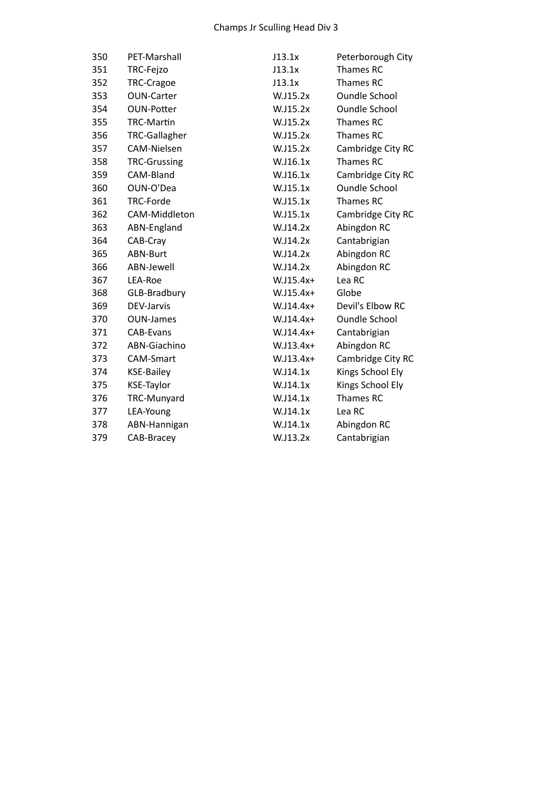| 350 | PET-Marshall         | J13.1x      | Peterborough City    |
|-----|----------------------|-------------|----------------------|
| 351 | TRC-Fejzo            | J13.1x      | Thames RC            |
| 352 | TRC-Cragoe           | J13.1x      | Thames RC            |
| 353 | <b>OUN-Carter</b>    | W.J15.2x    | <b>Oundle School</b> |
| 354 | <b>OUN-Potter</b>    | W.J15.2x    | <b>Oundle School</b> |
| 355 | <b>TRC-Martin</b>    | W.J15.2x    | Thames RC            |
| 356 | <b>TRC-Gallagher</b> | W.J15.2x    | Thames RC            |
| 357 | CAM-Nielsen          | W.J15.2x    | Cambridge City RC    |
| 358 | <b>TRC-Grussing</b>  | W.J16.1x    | Thames RC            |
| 359 | CAM-Bland            | W.J16.1x    | Cambridge City RC    |
| 360 | OUN-O'Dea            | W.J15.1x    | <b>Oundle School</b> |
| 361 | TRC-Forde            | W.J15.1x    | Thames RC            |
| 362 | CAM-Middleton        | W.J15.1x    | Cambridge City RC    |
| 363 | ABN-England          | W.J14.2x    | Abingdon RC          |
| 364 | CAB-Cray             | W.J14.2x    | Cantabrigian         |
| 365 | <b>ABN-Burt</b>      | W.J14.2x    | Abingdon RC          |
| 366 | ABN-Jewell           | W.J14.2x    | Abingdon RC          |
| 367 | LEA-Roe              | $W.J15.4x+$ | Lea RC               |
| 368 | GLB-Bradbury         | $W.J15.4x+$ | Globe                |
| 369 | DEV-Jarvis           | W.J14.4x+   | Devil's Elbow RC     |
| 370 | <b>OUN-James</b>     | $W.I14.4x+$ | <b>Oundle School</b> |
| 371 | <b>CAB-Evans</b>     | $W.J14.4x+$ | Cantabrigian         |
| 372 | ABN-Giachino         | $W.J13.4x+$ | Abingdon RC          |
| 373 | <b>CAM-Smart</b>     | $W.J13.4x+$ | Cambridge City RC    |
| 374 | <b>KSE-Bailey</b>    | W.J14.1x    | Kings School Ely     |
| 375 | <b>KSE-Taylor</b>    | W.J14.1x    | Kings School Ely     |
| 376 | TRC-Munyard          | W.J14.1x    | Thames RC            |
| 377 | LEA-Young            | W.J14.1x    | Lea RC               |
| 378 | ABN-Hannigan         | W.J14.1x    | Abingdon RC          |
| 379 | CAB-Bracey           | W.J13.2x    | Cantabrigian         |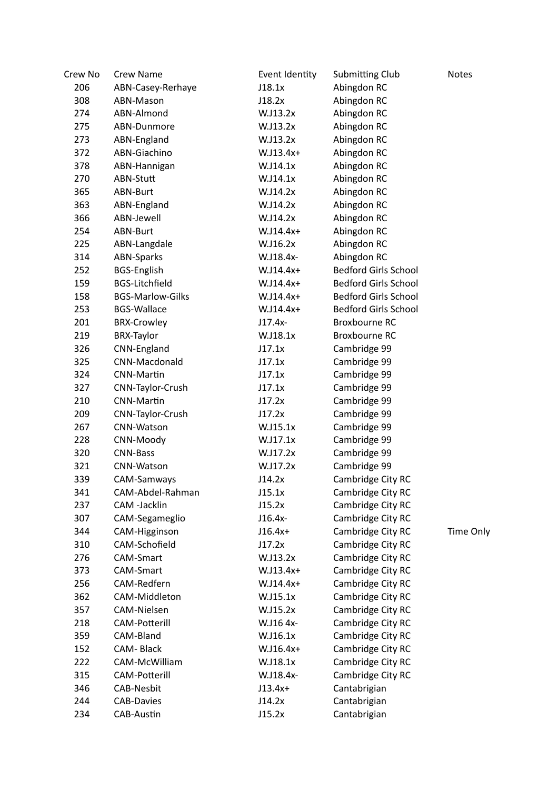| Crew No | <b>Crew Name</b>        | Event Identity | Submitting Club             | <b>Notes</b>     |
|---------|-------------------------|----------------|-----------------------------|------------------|
| 206     | ABN-Casey-Rerhaye       | J18.1x         | Abingdon RC                 |                  |
| 308     | ABN-Mason               | J18.2x         | Abingdon RC                 |                  |
| 274     | ABN-Almond              | W.J13.2x       | Abingdon RC                 |                  |
| 275     | ABN-Dunmore             | W.J13.2x       | Abingdon RC                 |                  |
| 273     | ABN-England             | W.J13.2x       | Abingdon RC                 |                  |
| 372     | ABN-Giachino            | $W.J13.4x+$    | Abingdon RC                 |                  |
| 378     | ABN-Hannigan            | W.J14.1x       | Abingdon RC                 |                  |
| 270     | ABN-Stutt               | W.J14.1x       | Abingdon RC                 |                  |
| 365     | ABN-Burt                | W.J14.2x       | Abingdon RC                 |                  |
| 363     | ABN-England             | W.J14.2x       | Abingdon RC                 |                  |
| 366     | ABN-Jewell              | W.J14.2x       | Abingdon RC                 |                  |
| 254     | ABN-Burt                | W.J14.4x+      | Abingdon RC                 |                  |
| 225     | ABN-Langdale            | W.J16.2x       | Abingdon RC                 |                  |
| 314     | <b>ABN-Sparks</b>       | W.J18.4x-      | Abingdon RC                 |                  |
| 252     | <b>BGS-English</b>      | W.J14.4x+      | <b>Bedford Girls School</b> |                  |
| 159     | <b>BGS-Litchfield</b>   | W.J14.4x+      | <b>Bedford Girls School</b> |                  |
| 158     | <b>BGS-Marlow-Gilks</b> | W.J14.4x+      | <b>Bedford Girls School</b> |                  |
| 253     | <b>BGS-Wallace</b>      | W.J14.4x+      | <b>Bedford Girls School</b> |                  |
| 201     | <b>BRX-Crowley</b>      | $J17.4x-$      | <b>Broxbourne RC</b>        |                  |
| 219     | <b>BRX-Taylor</b>       | W.J18.1x       | <b>Broxbourne RC</b>        |                  |
| 326     | CNN-England             | J17.1x         | Cambridge 99                |                  |
| 325     | CNN-Macdonald           | J17.1x         | Cambridge 99                |                  |
| 324     | <b>CNN-Martin</b>       | J17.1x         | Cambridge 99                |                  |
| 327     | CNN-Taylor-Crush        | J17.1x         | Cambridge 99                |                  |
| 210     | <b>CNN-Martin</b>       | J17.2x         | Cambridge 99                |                  |
| 209     | CNN-Taylor-Crush        | J17.2x         | Cambridge 99                |                  |
| 267     | CNN-Watson              | W.J15.1x       | Cambridge 99                |                  |
| 228     | CNN-Moody               | W.J17.1x       | Cambridge 99                |                  |
| 320     | <b>CNN-Bass</b>         | W.J17.2x       | Cambridge 99                |                  |
| 321     | CNN-Watson              | W.J17.2x       | Cambridge 99                |                  |
| 339     | CAM-Samways             | J14.2x         | Cambridge City RC           |                  |
| 341     | CAM-Abdel-Rahman        | J15.1x         | Cambridge City RC           |                  |
| 237     | CAM -Jacklin            | J15.2x         | Cambridge City RC           |                  |
| 307     | CAM-Segameglio          | $J16.4x-$      | Cambridge City RC           |                  |
| 344     | CAM-Higginson           | $J16.4x+$      | Cambridge City RC           | <b>Time Only</b> |
| 310     | CAM-Schofield           | J17.2x         | Cambridge City RC           |                  |
| 276     | CAM-Smart               | W.J13.2x       | Cambridge City RC           |                  |
| 373     | CAM-Smart               | $W.J13.4x+$    | Cambridge City RC           |                  |
| 256     | CAM-Redfern             | W.J14.4x+      | Cambridge City RC           |                  |
| 362     | CAM-Middleton           | W.J15.1x       | Cambridge City RC           |                  |
| 357     | CAM-Nielsen             | W.J15.2x       | Cambridge City RC           |                  |
| 218     | CAM-Potterill           | W.J16 4x-      | Cambridge City RC           |                  |
| 359     | CAM-Bland               | W.J16.1x       | Cambridge City RC           |                  |
| 152     | CAM-Black               | W.J16.4x+      | Cambridge City RC           |                  |
| 222     | CAM-McWilliam           | W.J18.1x       | Cambridge City RC           |                  |
| 315     | <b>CAM-Potterill</b>    | W.J18.4x-      | Cambridge City RC           |                  |
| 346     | <b>CAB-Nesbit</b>       | $J13.4x+$      | Cantabrigian                |                  |
| 244     | <b>CAB-Davies</b>       | J14.2x         | Cantabrigian                |                  |
| 234     | CAB-Austin              | J15.2x         | Cantabrigian                |                  |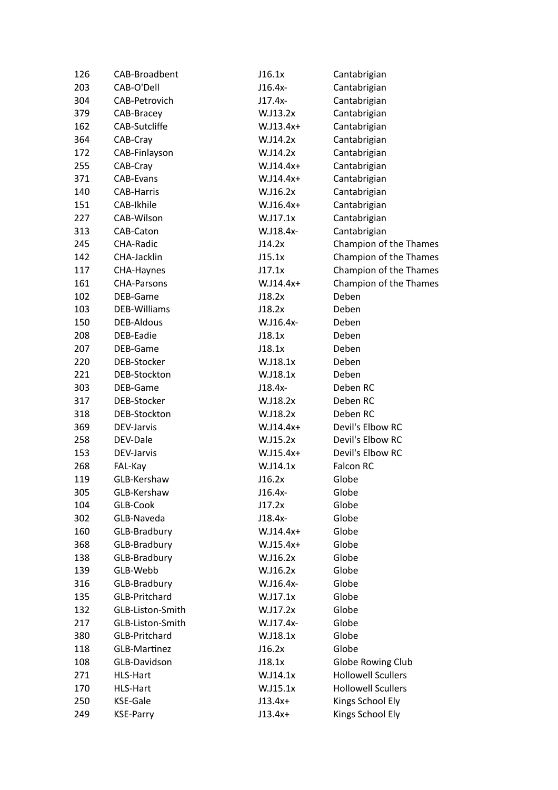| 126 | CAB-Broadbent        | J16.1x      | Cantabrigian              |
|-----|----------------------|-------------|---------------------------|
| 203 | CAB-O'Dell           | J16.4x-     | Cantabrigian              |
| 304 | CAB-Petrovich        | $J17.4x-$   | Cantabrigian              |
| 379 | CAB-Bracey           | W.J13.2x    | Cantabrigian              |
| 162 | CAB-Sutcliffe        | W.J13.4x+   | Cantabrigian              |
| 364 | CAB-Cray             | W.J14.2x    | Cantabrigian              |
| 172 | CAB-Finlayson        | W.J14.2x    | Cantabrigian              |
| 255 | CAB-Cray             | W.J14.4x+   | Cantabrigian              |
| 371 | CAB-Evans            | W.J14.4x+   | Cantabrigian              |
| 140 | <b>CAB-Harris</b>    | W.J16.2x    | Cantabrigian              |
| 151 | CAB-Ikhile           | W.J16.4x+   | Cantabrigian              |
| 227 | CAB-Wilson           | W.J17.1x    | Cantabrigian              |
| 313 | CAB-Caton            | W.J18.4x-   | Cantabrigian              |
| 245 | <b>CHA-Radic</b>     | J14.2x      | Champion of the Thames    |
| 142 | CHA-Jacklin          | J15.1x      | Champion of the Thames    |
| 117 | CHA-Haynes           | J17.1x      | Champion of the Thames    |
| 161 | <b>CHA-Parsons</b>   | W.J14.4x+   | Champion of the Thames    |
| 102 | DEB-Game             | J18.2x      | Deben                     |
| 103 | <b>DEB-Williams</b>  | J18.2x      | Deben                     |
| 150 | <b>DEB-Aldous</b>    | W.J16.4x-   | Deben                     |
| 208 | DEB-Eadie            | J18.1x      | Deben                     |
| 207 | DEB-Game             | J18.1x      | Deben                     |
| 220 | DEB-Stocker          | W.J18.1x    | Deben                     |
| 221 | DEB-Stockton         | W.J18.1x    | Deben                     |
| 303 | DEB-Game             | J18.4x-     | Deben RC                  |
| 317 | DEB-Stocker          | W.J18.2x    | Deben RC                  |
| 318 | DEB-Stockton         | W.J18.2x    | Deben RC                  |
| 369 | DEV-Jarvis           | W.J14.4x+   | Devil's Elbow RC          |
| 258 | DEV-Dale             | W.J15.2x    | Devil's Elbow RC          |
| 153 | DEV-Jarvis           | $W.J15.4x+$ | Devil's Elbow RC          |
| 268 | FAL-Kay              | W.J14.1x    | Falcon RC                 |
| 119 | GLB-Kershaw          | J16.2x      | Globe                     |
| 305 | GLB-Kershaw          | J16.4x-     | Globe                     |
| 104 | GLB-Cook             | J17.2x      | Globe                     |
| 302 | GLB-Naveda           | J18.4x-     | Globe                     |
| 160 | GLB-Bradbury         | W.J14.4x+   | Globe                     |
| 368 | GLB-Bradbury         | W.J15.4x+   | Globe                     |
| 138 | GLB-Bradbury         | W.J16.2x    | Globe                     |
| 139 | GLB-Webb             | W.J16.2x    | Globe                     |
| 316 | GLB-Bradbury         | W.J16.4x-   | Globe                     |
| 135 | <b>GLB-Pritchard</b> | W.J17.1x    | Globe                     |
| 132 | GLB-Liston-Smith     | W.J17.2x    | Globe                     |
| 217 | GLB-Liston-Smith     | W.J17.4x-   | Globe                     |
| 380 | GLB-Pritchard        | W.J18.1x    | Globe                     |
| 118 | <b>GLB-Martinez</b>  | J16.2x      | Globe                     |
| 108 | GLB-Davidson         | J18.1x      | Globe Rowing Club         |
| 271 | HLS-Hart             | W.J14.1x    | <b>Hollowell Scullers</b> |
| 170 | HLS-Hart             | W.J15.1x    | <b>Hollowell Scullers</b> |
| 250 | <b>KSE-Gale</b>      | $J13.4x+$   | Kings School Ely          |
| 249 | <b>KSE-Parry</b>     | $J13.4x+$   | Kings School Ely          |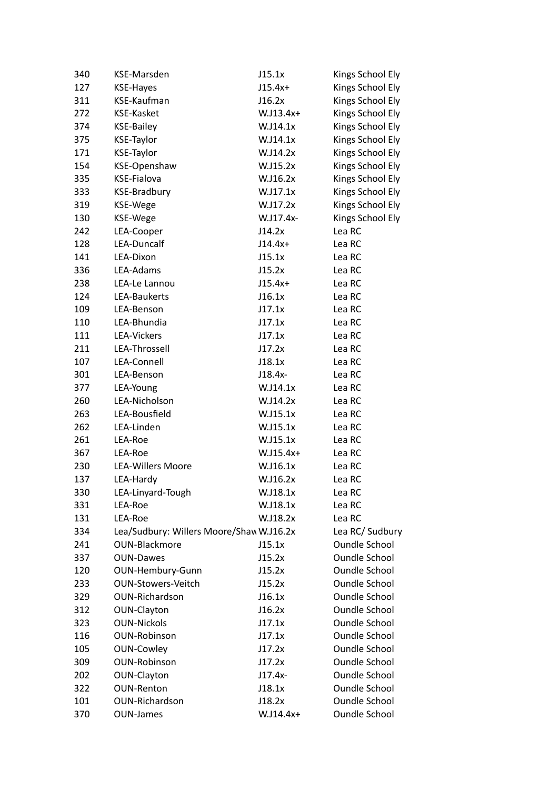| 340 | KSE-Marsden                              | J15.1x      | Kings School Ely     |
|-----|------------------------------------------|-------------|----------------------|
| 127 | <b>KSE-Hayes</b>                         | $J15.4x+$   | Kings School Ely     |
| 311 | KSE-Kaufman                              | J16.2x      | Kings School Ely     |
| 272 | <b>KSE-Kasket</b>                        | $W.J13.4x+$ | Kings School Ely     |
| 374 | <b>KSE-Bailey</b>                        | W.J14.1x    | Kings School Ely     |
| 375 | <b>KSE-Taylor</b>                        | W.J14.1x    | Kings School Ely     |
| 171 | <b>KSE-Taylor</b>                        | W.J14.2x    | Kings School Ely     |
| 154 | KSE-Openshaw                             | W.J15.2x    | Kings School Ely     |
| 335 | KSE-Fialova                              | W.J16.2x    | Kings School Ely     |
| 333 | <b>KSE-Bradbury</b>                      | W.J17.1x    | Kings School Ely     |
| 319 | KSE-Wege                                 | W.J17.2x    | Kings School Ely     |
| 130 | KSE-Wege                                 | W.J17.4x-   | Kings School Ely     |
| 242 | LEA-Cooper                               | J14.2x      | Lea RC               |
| 128 | LEA-Duncalf                              | $J14.4x+$   | Lea RC               |
| 141 | LEA-Dixon                                | J15.1x      | Lea RC               |
| 336 | LEA-Adams                                | J15.2x      | Lea RC               |
| 238 | LEA-Le Lannou                            | $J15.4x+$   | Lea RC               |
| 124 | LEA-Baukerts                             | J16.1x      | Lea RC               |
| 109 | LEA-Benson                               | J17.1x      | Lea RC               |
| 110 | LEA-Bhundia                              | J17.1x      | Lea RC               |
| 111 | <b>LEA-Vickers</b>                       | J17.1x      | Lea RC               |
| 211 | LEA-Throssell                            | J17.2x      | Lea RC               |
| 107 | LEA-Connell                              | J18.1x      | Lea RC               |
| 301 | LEA-Benson                               | J18.4x-     | Lea RC               |
| 377 | LEA-Young                                | W.J14.1x    | Lea RC               |
| 260 | LEA-Nicholson                            | W.J14.2x    | Lea RC               |
| 263 | LEA-Bousfield                            | W.J15.1x    | Lea RC               |
| 262 | LEA-Linden                               | W.J15.1x    | Lea RC               |
| 261 | LEA-Roe                                  | W.J15.1x    | Lea RC               |
| 367 | LEA-Roe                                  | $W.J15.4x+$ | Lea RC               |
| 230 | <b>LEA-Willers Moore</b>                 | W.J16.1x    | Lea RC               |
| 137 | LEA-Hardy                                | W.J16.2x    | Lea RC               |
| 330 | LEA-Linyard-Tough                        | W.J18.1x    | Lea RC               |
| 331 | LEA-Roe                                  | W.J18.1x    | Lea RC               |
| 131 | LEA-Roe                                  | W.J18.2x    | Lea RC               |
| 334 | Lea/Sudbury: Willers Moore/Shaw W.J16.2x |             | Lea RC/ Sudbury      |
| 241 | <b>OUN-Blackmore</b>                     | J15.1x      | <b>Oundle School</b> |
| 337 | <b>OUN-Dawes</b>                         | J15.2x      | <b>Oundle School</b> |
| 120 | OUN-Hembury-Gunn                         | J15.2x      | <b>Oundle School</b> |
| 233 | <b>OUN-Stowers-Veitch</b>                | J15.2x      | <b>Oundle School</b> |
| 329 | OUN-Richardson                           | J16.1x      | <b>Oundle School</b> |
| 312 | OUN-Clayton                              | J16.2x      | <b>Oundle School</b> |
| 323 | <b>OUN-Nickols</b>                       | J17.1x      | <b>Oundle School</b> |
| 116 | <b>OUN-Robinson</b>                      | J17.1x      | <b>Oundle School</b> |
| 105 | <b>OUN-Cowley</b>                        | J17.2x      | <b>Oundle School</b> |
| 309 | <b>OUN-Robinson</b>                      | J17.2x      | <b>Oundle School</b> |
| 202 | OUN-Clayton                              | J17.4x-     | <b>Oundle School</b> |
| 322 | <b>OUN-Renton</b>                        | J18.1x      | <b>Oundle School</b> |
| 101 | <b>OUN-Richardson</b>                    | J18.2x      | <b>Oundle School</b> |
| 370 | <b>OUN-James</b>                         | W.J14.4x+   | <b>Oundle School</b> |
|     |                                          |             |                      |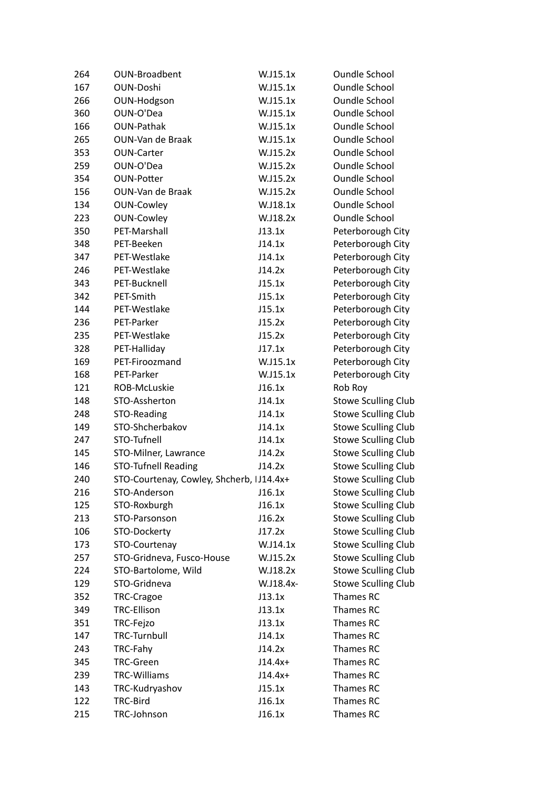| 264        | OUN-Broadbent                            | W.J15.1x  | <b>Oundle School</b>       |
|------------|------------------------------------------|-----------|----------------------------|
| 167        | <b>OUN-Doshi</b>                         | W.J15.1x  | <b>Oundle School</b>       |
| 266        | OUN-Hodgson                              | W.J15.1x  | <b>Oundle School</b>       |
| 360        | OUN-O'Dea                                | W.J15.1x  | <b>Oundle School</b>       |
| 166        | <b>OUN-Pathak</b>                        | W.J15.1x  | <b>Oundle School</b>       |
| 265        | OUN-Van de Braak                         | W.J15.1x  | <b>Oundle School</b>       |
| 353        | <b>OUN-Carter</b>                        | W.J15.2x  | <b>Oundle School</b>       |
| 259        | OUN-O'Dea                                | W.J15.2x  | <b>Oundle School</b>       |
| 354        | <b>OUN-Potter</b>                        | W.J15.2x  | <b>Oundle School</b>       |
| 156        | OUN-Van de Braak                         | W.J15.2x  | <b>Oundle School</b>       |
| 134        | <b>OUN-Cowley</b>                        | W.J18.1x  | <b>Oundle School</b>       |
| 223        | <b>OUN-Cowley</b>                        | W.J18.2x  | <b>Oundle School</b>       |
| 350        | PET-Marshall                             | J13.1x    | Peterborough City          |
| 348        | PET-Beeken                               | J14.1x    | Peterborough City          |
| 347        | PET-Westlake                             | J14.1x    | Peterborough City          |
| 246        | PET-Westlake                             | J14.2x    | Peterborough City          |
| 343        | PET-Bucknell                             | J15.1x    | Peterborough City          |
| 342        | PET-Smith                                | J15.1x    | Peterborough City          |
| 144        | PET-Westlake                             | J15.1x    | Peterborough City          |
| 236        | PET-Parker                               | J15.2x    | Peterborough City          |
| 235        | PET-Westlake                             | J15.2x    | Peterborough City          |
| 328        | PET-Halliday                             | J17.1x    | Peterborough City          |
| 169        | PET-Firoozmand                           | W.J15.1x  | Peterborough City          |
| 168        | PET-Parker                               | W.J15.1x  | Peterborough City          |
| 121        | ROB-McLuskie                             | J16.1x    | Rob Roy                    |
| 148        | STO-Assherton                            | J14.1x    | <b>Stowe Sculling Club</b> |
| 248        | STO-Reading                              | J14.1x    | <b>Stowe Sculling Club</b> |
| 149        | STO-Shcherbakov                          | J14.1x    | <b>Stowe Sculling Club</b> |
| 247        | STO-Tufnell                              | J14.1x    | <b>Stowe Sculling Club</b> |
| 145        | STO-Milner, Lawrance                     | J14.2x    | <b>Stowe Sculling Club</b> |
| 146        | <b>STO-Tufnell Reading</b>               | J14.2x    | <b>Stowe Sculling Club</b> |
| 240        | STO-Courtenay, Cowley, Shcherb, IJ14.4x+ |           | <b>Stowe Sculling Club</b> |
| 216        | STO-Anderson                             | J16.1x    | <b>Stowe Sculling Club</b> |
| 125        | STO-Roxburgh                             | J16.1x    | <b>Stowe Sculling Club</b> |
| 213        | STO-Parsonson                            | J16.2x    | <b>Stowe Sculling Club</b> |
| 106        | STO-Dockerty                             | J17.2x    | <b>Stowe Sculling Club</b> |
| 173        | STO-Courtenay                            | W.J14.1x  | <b>Stowe Sculling Club</b> |
| 257        | STO-Gridneva, Fusco-House                | W.J15.2x  | <b>Stowe Sculling Club</b> |
| 224        | STO-Bartolome, Wild                      | W.J18.2x  | <b>Stowe Sculling Club</b> |
| 129        | STO-Gridneva                             | W.J18.4x- | <b>Stowe Sculling Club</b> |
| 352        | TRC-Cragoe                               | J13.1x    | Thames RC                  |
|            | <b>TRC-Ellison</b>                       |           | Thames RC                  |
| 349        | TRC-Fejzo                                | J13.1x    | Thames RC                  |
| 351<br>147 | <b>TRC-Turnbull</b>                      | J13.1x    | Thames RC                  |
|            |                                          | J14.1x    |                            |
| 243        | TRC-Fahy                                 | J14.2x    | Thames RC                  |
| 345        | <b>TRC-Green</b>                         | $J14.4x+$ | Thames RC                  |
| 239        | <b>TRC-Williams</b>                      | $J14.4x+$ | Thames RC                  |
| 143        | TRC-Kudryashov                           | J15.1x    | Thames RC                  |
| 122        | TRC-Bird                                 | J16.1x    | Thames RC                  |
| 215        | TRC-Johnson                              | J16.1x    | Thames RC                  |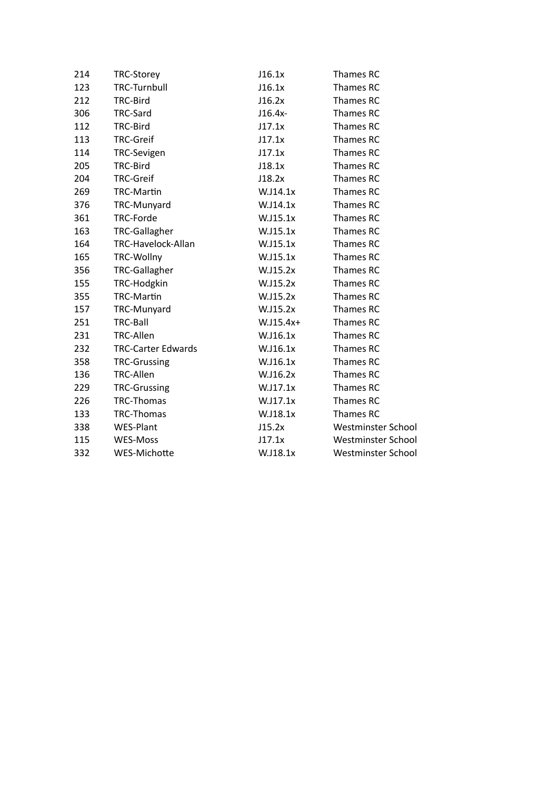| 214 | <b>TRC-Storey</b>         | J16.1x       | Thames RC          |
|-----|---------------------------|--------------|--------------------|
| 123 | <b>TRC-Turnbull</b>       | J16.1x       | Thames RC          |
| 212 | TRC-Bird                  | J16.2x       | Thames RC          |
| 306 | TRC-Sard                  | $J16.4x-$    | Thames RC          |
| 112 | TRC-Bird                  | J17.1x       | Thames RC          |
| 113 | <b>TRC-Greif</b>          | J17.1x       | Thames RC          |
| 114 | <b>TRC-Sevigen</b>        | J17.1x       | Thames RC          |
| 205 | TRC-Bird                  | J18.1x       | Thames RC          |
| 204 | <b>TRC-Greif</b>          | J18.2x       | Thames RC          |
| 269 | <b>TRC-Martin</b>         | W.J14.1x     | Thames RC          |
| 376 | TRC-Munyard               | W.J14.1x     | Thames RC          |
| 361 | TRC-Forde                 | W.J15.1x     | Thames RC          |
| 163 | <b>TRC-Gallagher</b>      | W.J15.1x     | Thames RC          |
| 164 | TRC-Havelock-Allan        | W.J15.1x     | Thames RC          |
| 165 | TRC-Wollny                | W.J15.1x     | Thames RC          |
| 356 | <b>TRC-Gallagher</b>      | W.J15.2x     | Thames RC          |
| 155 | TRC-Hodgkin               | W.J15.2x     | Thames RC          |
| 355 | <b>TRC-Martin</b>         | W.J15.2x     | Thames RC          |
| 157 | TRC-Munyard               | W.J15.2x     | Thames RC          |
| 251 | TRC-Ball                  | $W.$ J15.4x+ | Thames RC          |
| 231 | <b>TRC-Allen</b>          | W.J16.1x     | Thames RC          |
| 232 | <b>TRC-Carter Edwards</b> | W.J16.1x     | Thames RC          |
| 358 | <b>TRC-Grussing</b>       | W.J16.1x     | Thames RC          |
| 136 | <b>TRC-Allen</b>          | W.J16.2x     | Thames RC          |
| 229 | <b>TRC-Grussing</b>       | W.J17.1x     | Thames RC          |
| 226 | <b>TRC-Thomas</b>         | W.J17.1x     | Thames RC          |
| 133 | <b>TRC-Thomas</b>         | W.J18.1x     | Thames RC          |
| 338 | WES-Plant                 | J15.2x       | Westminster School |
| 115 | <b>WES-Moss</b>           | J17.1x       | Westminster School |
| 332 | WES-Michotte              | W.J18.1x     | Westminster School |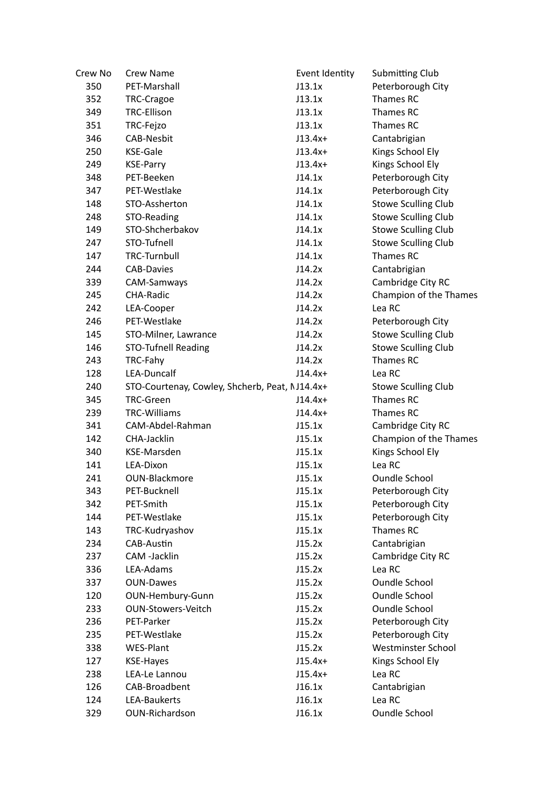| Crew No | Crew Name                                      | Event Identity | <b>Submitting Club</b>     |
|---------|------------------------------------------------|----------------|----------------------------|
| 350     | PET-Marshall                                   | J13.1x         | Peterborough City          |
| 352     | TRC-Cragoe                                     | J13.1x         | Thames RC                  |
| 349     | <b>TRC-Ellison</b>                             | J13.1x         | Thames RC                  |
| 351     | TRC-Fejzo                                      | J13.1x         | Thames RC                  |
| 346     | <b>CAB-Nesbit</b>                              | $J13.4x+$      | Cantabrigian               |
| 250     | KSE-Gale                                       | $J13.4x+$      | Kings School Ely           |
| 249     | <b>KSE-Parry</b>                               | $J13.4x+$      | Kings School Ely           |
| 348     | PET-Beeken                                     | J14.1x         | Peterborough City          |
| 347     | PET-Westlake                                   | J14.1x         | Peterborough City          |
| 148     | STO-Assherton                                  | J14.1x         | <b>Stowe Sculling Club</b> |
| 248     | STO-Reading                                    | J14.1x         | <b>Stowe Sculling Club</b> |
| 149     | STO-Shcherbakov                                | J14.1x         | <b>Stowe Sculling Club</b> |
| 247     | STO-Tufnell                                    | J14.1x         | <b>Stowe Sculling Club</b> |
| 147     | <b>TRC-Turnbull</b>                            | J14.1x         | Thames RC                  |
| 244     | <b>CAB-Davies</b>                              | J14.2x         | Cantabrigian               |
| 339     | CAM-Samways                                    | J14.2x         | Cambridge City RC          |
| 245     | <b>CHA-Radic</b>                               | J14.2x         | Champion of the Thames     |
| 242     | LEA-Cooper                                     | J14.2x         | Lea RC                     |
| 246     | PET-Westlake                                   | J14.2x         | Peterborough City          |
| 145     | STO-Milner, Lawrance                           | J14.2x         | <b>Stowe Sculling Club</b> |
| 146     | <b>STO-Tufnell Reading</b>                     | J14.2x         | <b>Stowe Sculling Club</b> |
| 243     | TRC-Fahy                                       | J14.2x         | Thames RC                  |
| 128     | LEA-Duncalf                                    | $J14.4x+$      | Lea RC                     |
| 240     | STO-Courtenay, Cowley, Shcherb, Peat, NJ14.4x+ |                | <b>Stowe Sculling Club</b> |
| 345     | <b>TRC-Green</b>                               | $J14.4x+$      | Thames RC                  |
| 239     | <b>TRC-Williams</b>                            | $J14.4x+$      | Thames RC                  |
| 341     | CAM-Abdel-Rahman                               | J15.1x         | Cambridge City RC          |
| 142     | CHA-Jacklin                                    | J15.1x         | Champion of the Thames     |
| 340     | KSE-Marsden                                    | J15.1x         | Kings School Ely           |
| 141     | LEA-Dixon                                      | J15.1x         | Lea RC                     |
| 241     | OUN-Blackmore                                  | J15.1x         | <b>Oundle School</b>       |
| 343     | PET-Bucknell                                   | J15.1x         | Peterborough City          |
| 342     | PET-Smith                                      | J15.1x         | Peterborough City          |
| 144     | PET-Westlake                                   | J15.1x         | Peterborough City          |
| 143     | TRC-Kudryashov                                 | J15.1x         | Thames RC                  |
| 234     | CAB-Austin                                     | J15.2x         | Cantabrigian               |
| 237     | CAM -Jacklin                                   | J15.2x         | Cambridge City RC          |
| 336     | LEA-Adams                                      | J15.2x         | Lea RC                     |
| 337     | <b>OUN-Dawes</b>                               | J15.2x         | <b>Oundle School</b>       |
| 120     | OUN-Hembury-Gunn                               | J15.2x         | Oundle School              |
| 233     | <b>OUN-Stowers-Veitch</b>                      | J15.2x         | <b>Oundle School</b>       |
| 236     | PET-Parker                                     | J15.2x         | Peterborough City          |
| 235     | PET-Westlake                                   | J15.2x         | Peterborough City          |
| 338     | <b>WES-Plant</b>                               | J15.2x         | Westminster School         |
| 127     | <b>KSE-Hayes</b>                               | $J15.4x+$      | Kings School Ely           |
| 238     | LEA-Le Lannou                                  | $J15.4x+$      | Lea RC                     |
| 126     | CAB-Broadbent                                  | J16.1x         | Cantabrigian               |
| 124     | LEA-Baukerts                                   | J16.1x         | Lea RC                     |
| 329     | OUN-Richardson                                 | J16.1x         | <b>Oundle School</b>       |
|         |                                                |                |                            |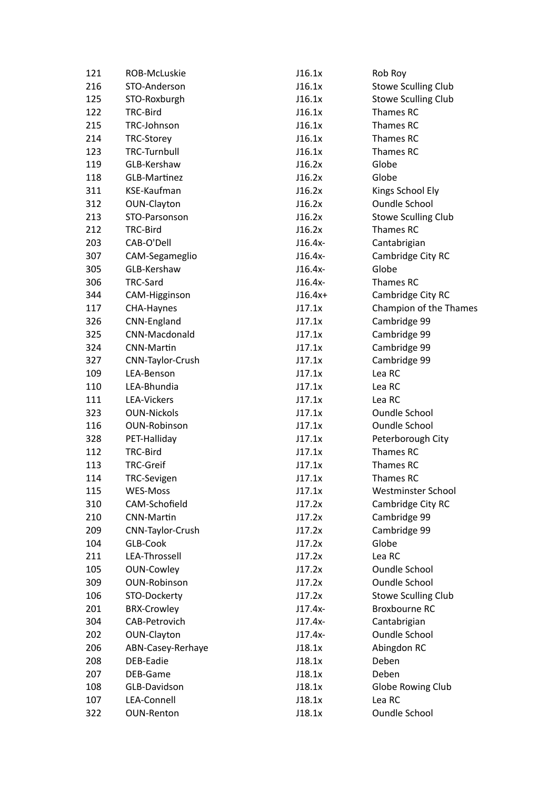| 121 | ROB-McLuskie        | J16.1x    | Rob Roy                    |
|-----|---------------------|-----------|----------------------------|
| 216 | STO-Anderson        | J16.1x    | <b>Stowe Sculling Club</b> |
| 125 | STO-Roxburgh        | J16.1x    | <b>Stowe Sculling Club</b> |
| 122 | TRC-Bird            | J16.1x    | Thames RC                  |
| 215 | TRC-Johnson         | J16.1x    | Thames RC                  |
| 214 | <b>TRC-Storey</b>   | J16.1x    | Thames RC                  |
| 123 | <b>TRC-Turnbull</b> | J16.1x    | Thames RC                  |
| 119 | GLB-Kershaw         | J16.2x    | Globe                      |
| 118 | GLB-Martinez        | J16.2x    | Globe                      |
| 311 | KSE-Kaufman         | J16.2x    | Kings School Ely           |
| 312 | OUN-Clayton         | J16.2x    | <b>Oundle School</b>       |
| 213 | STO-Parsonson       | J16.2x    | <b>Stowe Sculling Club</b> |
| 212 | TRC-Bird            | J16.2x    | Thames RC                  |
| 203 | CAB-O'Dell          | $J16.4x-$ | Cantabrigian               |
| 307 | CAM-Segameglio      | $J16.4x-$ | Cambridge City RC          |
| 305 | GLB-Kershaw         | $J16.4x-$ | Globe                      |
| 306 | TRC-Sard            | $J16.4x-$ | Thames RC                  |
| 344 | CAM-Higginson       | $J16.4x+$ | Cambridge City RC          |
| 117 | CHA-Haynes          | J17.1x    | Champion of the Thames     |
| 326 | CNN-England         | J17.1x    | Cambridge 99               |
| 325 | CNN-Macdonald       | J17.1x    | Cambridge 99               |
| 324 | <b>CNN-Martin</b>   | J17.1x    | Cambridge 99               |
| 327 | CNN-Taylor-Crush    | J17.1x    | Cambridge 99               |
| 109 | LEA-Benson          | J17.1x    | Lea RC                     |
| 110 | LEA-Bhundia         | J17.1x    | Lea RC                     |
| 111 | <b>LEA-Vickers</b>  | J17.1x    | Lea RC                     |
| 323 | <b>OUN-Nickols</b>  | J17.1x    | <b>Oundle School</b>       |
| 116 | <b>OUN-Robinson</b> | J17.1x    | <b>Oundle School</b>       |
| 328 | PET-Halliday        | J17.1x    | Peterborough City          |
| 112 | TRC-Bird            | J17.1x    | Thames RC                  |
| 113 | <b>TRC-Greif</b>    | J17.1x    | Thames RC                  |
| 114 | <b>TRC-Sevigen</b>  | J17.1x    | Thames RC                  |
| 115 | WES-Moss            | J17.1x    | Westminster School         |
| 310 | CAM-Schofield       | J17.2x    | Cambridge City RC          |
| 210 | <b>CNN-Martin</b>   | J17.2x    | Cambridge 99               |
| 209 | CNN-Taylor-Crush    | J17.2x    | Cambridge 99               |
| 104 | GLB-Cook            | J17.2x    | Globe                      |
| 211 | LEA-Throssell       | J17.2x    | Lea RC                     |
| 105 | <b>OUN-Cowley</b>   | J17.2x    | <b>Oundle School</b>       |
| 309 | <b>OUN-Robinson</b> | J17.2x    | <b>Oundle School</b>       |
| 106 | STO-Dockerty        | J17.2x    | <b>Stowe Sculling Club</b> |
| 201 | <b>BRX-Crowley</b>  | $J17.4x-$ | <b>Broxbourne RC</b>       |
| 304 | CAB-Petrovich       | $J17.4x-$ | Cantabrigian               |
| 202 | OUN-Clayton         | $J17.4x-$ | Oundle School              |
| 206 | ABN-Casey-Rerhaye   | J18.1x    | Abingdon RC                |
| 208 | DEB-Eadie           | J18.1x    | Deben                      |
| 207 | DEB-Game            | J18.1x    | Deben                      |
| 108 | GLB-Davidson        | J18.1x    | Globe Rowing Club          |
| 107 | LEA-Connell         | J18.1x    | Lea RC                     |
| 322 | <b>OUN-Renton</b>   | J18.1x    | <b>Oundle School</b>       |
|     |                     |           |                            |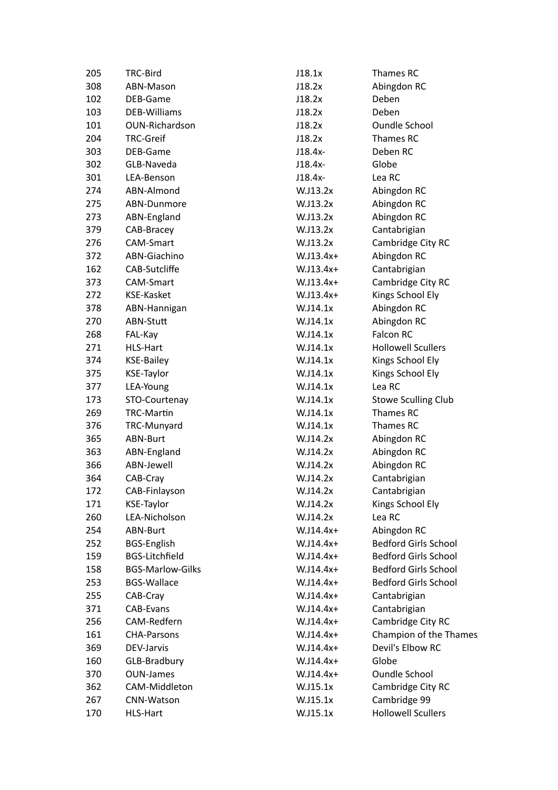| 205 | TRC-Bird                | J18.1x      | Thames RC                   |
|-----|-------------------------|-------------|-----------------------------|
| 308 | ABN-Mason               | J18.2x      | Abingdon RC                 |
| 102 | DEB-Game                | J18.2x      | Deben                       |
| 103 | <b>DEB-Williams</b>     | J18.2x      | Deben                       |
| 101 | OUN-Richardson          | J18.2x      | Oundle School               |
| 204 | <b>TRC-Greif</b>        | J18.2x      | Thames RC                   |
| 303 | DEB-Game                | $J18.4x-$   | Deben RC                    |
| 302 | GLB-Naveda              | $J18.4x-$   | Globe                       |
| 301 | LEA-Benson              | $J18.4x-$   | Lea RC                      |
| 274 | ABN-Almond              | W.J13.2x    | Abingdon RC                 |
| 275 | ABN-Dunmore             | W.J13.2x    | Abingdon RC                 |
| 273 | ABN-England             | W.J13.2x    | Abingdon RC                 |
| 379 | CAB-Bracey              | W.J13.2x    | Cantabrigian                |
| 276 | CAM-Smart               | W.J13.2x    | Cambridge City RC           |
| 372 | ABN-Giachino            | $W.J13.4x+$ | Abingdon RC                 |
| 162 | CAB-Sutcliffe           | $W.J13.4x+$ | Cantabrigian                |
| 373 | CAM-Smart               | $W.J13.4x+$ | Cambridge City RC           |
| 272 | <b>KSE-Kasket</b>       | $W.J13.4x+$ | Kings School Ely            |
| 378 | ABN-Hannigan            | W.J14.1x    | Abingdon RC                 |
| 270 | ABN-Stutt               | W.J14.1x    | Abingdon RC                 |
| 268 | FAL-Kay                 | W.J14.1x    | Falcon RC                   |
| 271 | <b>HLS-Hart</b>         | W.J14.1x    | <b>Hollowell Scullers</b>   |
| 374 | <b>KSE-Bailey</b>       | W.J14.1x    | Kings School Ely            |
| 375 | <b>KSE-Taylor</b>       | W.J14.1x    | Kings School Ely            |
| 377 | LEA-Young               | W.J14.1x    | Lea RC                      |
| 173 | STO-Courtenay           | W.J14.1x    | <b>Stowe Sculling Club</b>  |
| 269 | <b>TRC-Martin</b>       | W.J14.1x    | Thames RC                   |
| 376 | TRC-Munyard             | W.J14.1x    | Thames RC                   |
| 365 | ABN-Burt                | W.J14.2x    | Abingdon RC                 |
| 363 | ABN-England             | W.J14.2x    | Abingdon RC                 |
| 366 | ABN-Jewell              | W.J14.2x    | Abingdon RC                 |
| 364 | CAB-Cray                | W.J14.2x    | Cantabrigian                |
| 172 | CAB-Finlayson           | W.J14.2x    | Cantabrigian                |
| 171 | <b>KSE-Taylor</b>       | W.J14.2x    | Kings School Ely            |
| 260 | LEA-Nicholson           | W.J14.2x    | Lea RC                      |
| 254 | ABN-Burt                | $W.J14.4x+$ | Abingdon RC                 |
| 252 | <b>BGS-English</b>      | $W.J14.4x+$ | <b>Bedford Girls School</b> |
| 159 | <b>BGS-Litchfield</b>   | $W.J14.4x+$ | <b>Bedford Girls School</b> |
| 158 | <b>BGS-Marlow-Gilks</b> | $W.J14.4x+$ | <b>Bedford Girls School</b> |
| 253 | <b>BGS-Wallace</b>      | $W.J14.4x+$ | <b>Bedford Girls School</b> |
| 255 | CAB-Cray                | $W.J14.4x+$ | Cantabrigian                |
| 371 | <b>CAB-Evans</b>        | $W.J14.4x+$ | Cantabrigian                |
| 256 | CAM-Redfern             | $W.J14.4x+$ | Cambridge City RC           |
| 161 | <b>CHA-Parsons</b>      | $W.J14.4x+$ | Champion of the Thames      |
| 369 | DEV-Jarvis              | $W.J14.4x+$ | Devil's Elbow RC            |
| 160 | GLB-Bradbury            | $W.J14.4x+$ | Globe                       |
| 370 | <b>OUN-James</b>        | $W.J14.4x+$ | Oundle School               |
| 362 | CAM-Middleton           | W.J15.1x    | Cambridge City RC           |
| 267 | CNN-Watson              | W.J15.1x    | Cambridge 99                |
| 170 | <b>HLS-Hart</b>         | W.J15.1x    | <b>Hollowell Scullers</b>   |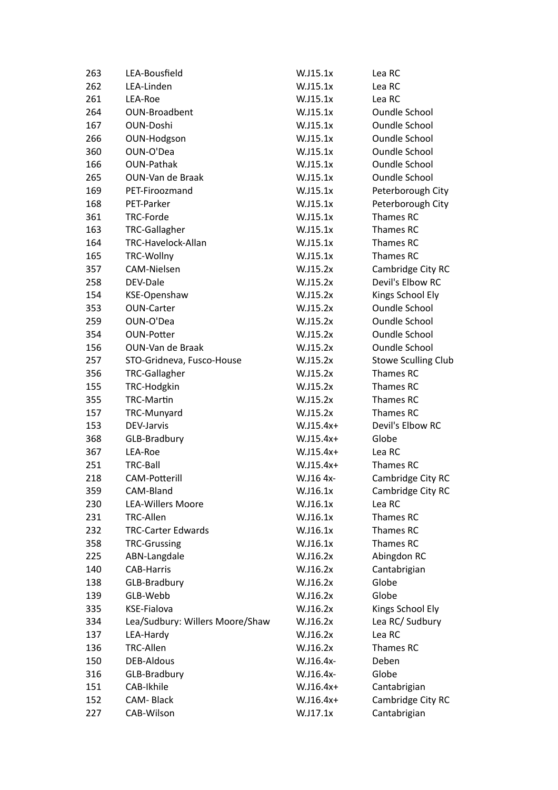| 263 | LEA-Bousfield                   | W.J15.1x    | Lea RC                     |
|-----|---------------------------------|-------------|----------------------------|
| 262 | LEA-Linden                      | W.J15.1x    | Lea RC                     |
| 261 | LEA-Roe                         | W.J15.1x    | Lea RC                     |
| 264 | OUN-Broadbent                   | W.J15.1x    | <b>Oundle School</b>       |
| 167 | <b>OUN-Doshi</b>                | W.J15.1x    | <b>Oundle School</b>       |
| 266 | OUN-Hodgson                     | W.J15.1x    | <b>Oundle School</b>       |
| 360 | OUN-O'Dea                       | W.J15.1x    | <b>Oundle School</b>       |
| 166 | <b>OUN-Pathak</b>               | W.J15.1x    | <b>Oundle School</b>       |
| 265 | OUN-Van de Braak                | W.J15.1x    | <b>Oundle School</b>       |
| 169 | PET-Firoozmand                  | W.J15.1x    | Peterborough City          |
| 168 | PET-Parker                      | W.J15.1x    | Peterborough City          |
| 361 | TRC-Forde                       | W.J15.1x    | Thames RC                  |
| 163 | TRC-Gallagher                   | W.J15.1x    | Thames RC                  |
| 164 | TRC-Havelock-Allan              | W.J15.1x    | Thames RC                  |
| 165 | TRC-Wollny                      | W.J15.1x    | Thames RC                  |
| 357 | CAM-Nielsen                     | W.J15.2x    | Cambridge City RC          |
| 258 | DEV-Dale                        | W.J15.2x    | Devil's Elbow RC           |
| 154 | KSE-Openshaw                    | W.J15.2x    | Kings School Ely           |
| 353 | <b>OUN-Carter</b>               | W.J15.2x    | <b>Oundle School</b>       |
| 259 | OUN-O'Dea                       | W.J15.2x    | <b>Oundle School</b>       |
| 354 | <b>OUN-Potter</b>               | W.J15.2x    | <b>Oundle School</b>       |
| 156 | OUN-Van de Braak                | W.J15.2x    | <b>Oundle School</b>       |
| 257 | STO-Gridneva, Fusco-House       | W.J15.2x    | <b>Stowe Sculling Club</b> |
| 356 | <b>TRC-Gallagher</b>            | W.J15.2x    | Thames RC                  |
| 155 | TRC-Hodgkin                     | W.J15.2x    | Thames RC                  |
| 355 | <b>TRC-Martin</b>               | W.J15.2x    | Thames RC                  |
| 157 | TRC-Munyard                     | W.J15.2x    | Thames RC                  |
| 153 | DEV-Jarvis                      | $W.J15.4x+$ | Devil's Elbow RC           |
| 368 | GLB-Bradbury                    | $W.J15.4x+$ | Globe                      |
| 367 | LEA-Roe                         | $W.J15.4x+$ | Lea RC                     |
| 251 | TRC-Ball                        | $W.J15.4x+$ | Thames RC                  |
| 218 | <b>CAM-Potterill</b>            | W.J16 4x-   | Cambridge City RC          |
| 359 | CAM-Bland                       | W.J16.1x    | Cambridge City RC          |
| 230 | <b>LEA-Willers Moore</b>        | W.J16.1x    | Lea RC                     |
| 231 | <b>TRC-Allen</b>                | W.J16.1x    | Thames RC                  |
| 232 | <b>TRC-Carter Edwards</b>       | W.J16.1x    | Thames RC                  |
| 358 | <b>TRC-Grussing</b>             | W.J16.1x    | Thames RC                  |
| 225 | ABN-Langdale                    | W.J16.2x    | Abingdon RC                |
| 140 | <b>CAB-Harris</b>               | W.J16.2x    | Cantabrigian               |
| 138 | GLB-Bradbury                    | W.J16.2x    | Globe                      |
| 139 | GLB-Webb                        | W.J16.2x    | Globe                      |
| 335 | KSE-Fialova                     | W.J16.2x    | Kings School Ely           |
| 334 | Lea/Sudbury: Willers Moore/Shaw | W.J16.2x    | Lea RC/ Sudbury            |
| 137 | LEA-Hardy                       | W.J16.2x    | Lea RC                     |
| 136 | <b>TRC-Allen</b>                | W.J16.2x    | Thames RC                  |
| 150 | <b>DEB-Aldous</b>               | W.J16.4x-   | Deben                      |
| 316 | GLB-Bradbury                    | W.J16.4x-   | Globe                      |
| 151 | CAB-Ikhile                      | $W.J16.4x+$ | Cantabrigian               |
| 152 | CAM-Black                       | W.J16.4x+   | Cambridge City RC          |
| 227 | CAB-Wilson                      | W.J17.1x    | Cantabrigian               |
|     |                                 |             |                            |